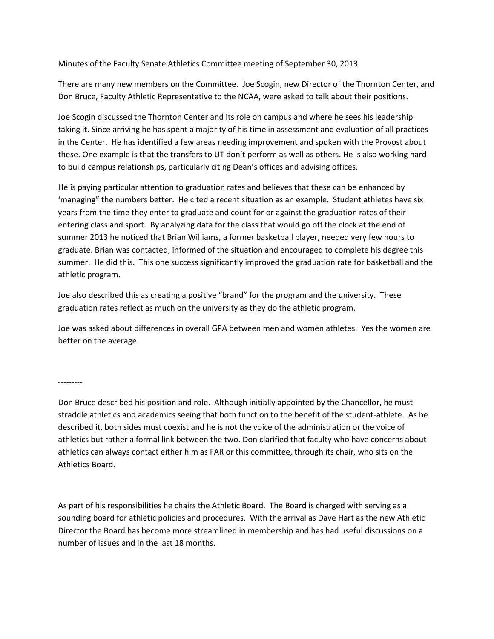Minutes of the Faculty Senate Athletics Committee meeting of September 30, 2013.

There are many new members on the Committee. Joe Scogin, new Director of the Thornton Center, and Don Bruce, Faculty Athletic Representative to the NCAA, were asked to talk about their positions.

Joe Scogin discussed the Thornton Center and its role on campus and where he sees his leadership taking it. Since arriving he has spent a majority of his time in assessment and evaluation of all practices in the Center. He has identified a few areas needing improvement and spoken with the Provost about these. One example is that the transfers to UT don't perform as well as others. He is also working hard to build campus relationships, particularly citing Dean's offices and advising offices.

He is paying particular attention to graduation rates and believes that these can be enhanced by 'managing" the numbers better. He cited a recent situation as an example. Student athletes have six years from the time they enter to graduate and count for or against the graduation rates of their entering class and sport. By analyzing data for the class that would go off the clock at the end of summer 2013 he noticed that Brian Williams, a former basketball player, needed very few hours to graduate. Brian was contacted, informed of the situation and encouraged to complete his degree this summer. He did this. This one success significantly improved the graduation rate for basketball and the athletic program.

Joe also described this as creating a positive "brand" for the program and the university. These graduation rates reflect as much on the university as they do the athletic program.

Joe was asked about differences in overall GPA between men and women athletes. Yes the women are better on the average.

---------

Don Bruce described his position and role. Although initially appointed by the Chancellor, he must straddle athletics and academics seeing that both function to the benefit of the student-athlete. As he described it, both sides must coexist and he is not the voice of the administration or the voice of athletics but rather a formal link between the two. Don clarified that faculty who have concerns about athletics can always contact either him as FAR or this committee, through its chair, who sits on the Athletics Board.

As part of his responsibilities he chairs the Athletic Board. The Board is charged with serving as a sounding board for athletic policies and procedures. With the arrival as Dave Hart as the new Athletic Director the Board has become more streamlined in membership and has had useful discussions on a number of issues and in the last 18 months.